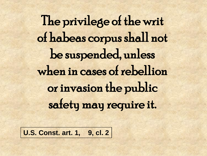The privilege of the writ of habeas corpus shall not be suspended, unless when in cases of rebellion or invasion the public safety may require it.

**U.S. Const. art. 1, 9, cl. 2**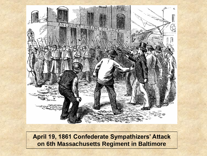

**April 19, 1861 Confederate Sympathizers' Attack on 6th Massachusetts Regiment in Baltimore**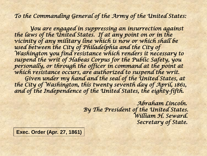*To the Commanding General of the Army of the United States:* 

 *You are engaged in suppressing an insurrection against the laws of the United States. If at any point on or in the vicinity of any military line which is now or which shall be used between the City of Philadelphia and the City of Washington you find resistance which renders it necessary to suspend the writ of Habeas Corpus for the Public Safety, you personally, or through the officer in command at the point at which resistance occurs, are authorized to suspend the writ. Given under my hand and the seal of the United States, at the City of Washington, this twenty seventh day of April, 1861, and of the Independence of the United States, the eighty-fifth.* 

> *Abraham Lincoln. By The President of the United States. William H. Seward. Secretary of State.*

**Exec. Order (Apr. 27, 1861)**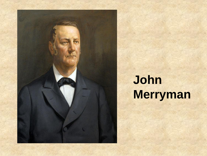

# **John Merryman**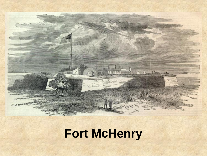#### **Fort McHenry**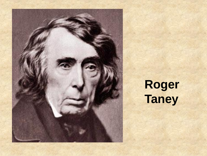# **Roger Taney**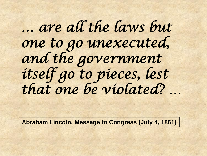# *… are all the laws but one to go unexecuted, and the government itself go to pieces, lest that one be violated? …*

**Abraham Lincoln, Message to Congress (July 4, 1861)**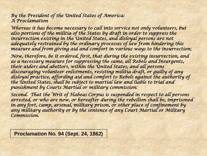*By the President of the United States of America: A Proclamation* 

*Whereas it has become necessary to call into service not only volunteers, but*  also portions of the militia of the States by draft in order to suppress the *insurrection existing in the United States, and disloyal persons are not adequately restrained by the ordinary processes of law from hindering this measure and from giving aid and comfort in various ways to the insurrection;* 

*Now, therefore, be it ordered, first, that during the existing insurrection, and as a necessary measure for suppressing the same, all Rebels and Insurgents, their aiders and abettors, within the United States, and all persons discouraging volunteer enlistments, resisting militia draft, or guilty of any disloyal practice, affording aid and comfort to Rebels against the authority of the United States, shall be subject to martial law and liable to trial and punishment by Courts Martial or military commission:* 

*Second. That the Writ of Habeas Corpus is suspended in respect to all persons arrested, or who are now, or hereafter during the rebellion shall be, imprisoned in any fort, camp, arsenal, military prison, or other place of confinement by any military authority or by the sentence of any Court Martial or Military Commission.* 

**Proclamation No. 94 (Sept. 24, 1862)**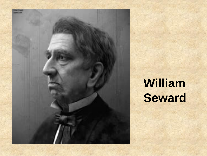

# **William Seward**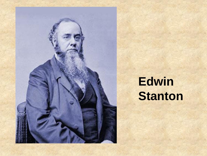

# **Edwin Stanton**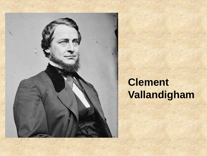

#### **Clement Vallandigham**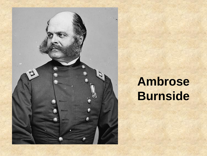

### **Ambrose Burnside**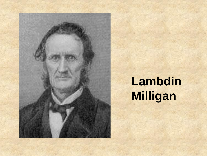

# **Lambdin Milligan**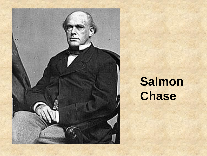

# **Salmon Chase**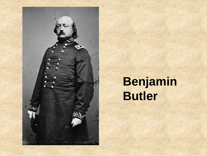

### **Benjamin Butler**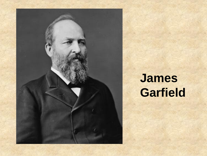

# **James Garfield**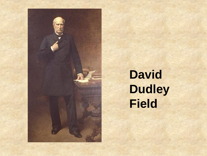

# **David Dudley Field**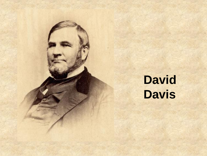# **David Davis**